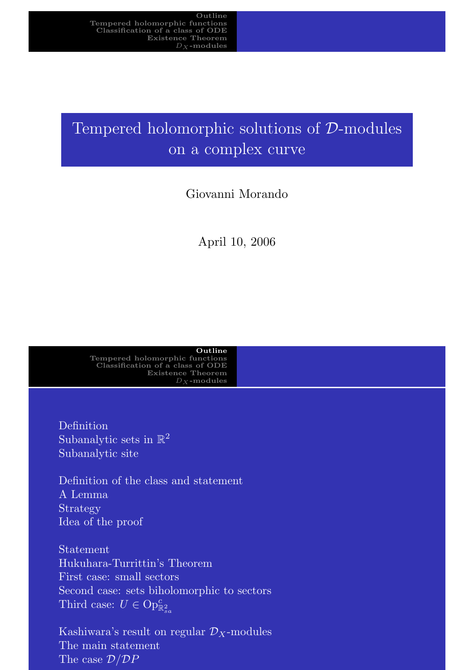## Tempered holomorphic solutions of D-modules on a complex curve

## Giovanni Morando

## April 10, 2006

Outline Tempered holomorphic functions Classification of a class of ODE Existence Theorem  $D_X$ -modules

Definition Subanalytic sets in  $\mathbb{R}^2$ [Subanalytic site](#page-0-0)

[Definition of the c](#page-12-0)lass and statement [A Lemma](#page-1-0) Strategy [Idea of t](#page-1-0)he proof

[Statement](#page-2-0) Hukuhara-Turrittin's Theorem [First](#page-4-0) case: small sectors [Secon](#page-6-0)d case: sets biholomorphic to sectors [Third case:](#page-7-0)  $U \in \text{Op}^c_{\mathbb{R}^2_{sa}}$ 

<span id="page-0-0"></span>[Kashiwar](#page-9-0)a's result on regular  $\mathcal{D}_X$ -modules [The main statement](#page-12-0) [The ca](#page-12-0)se  $\mathcal{D}/\mathcal{D}P$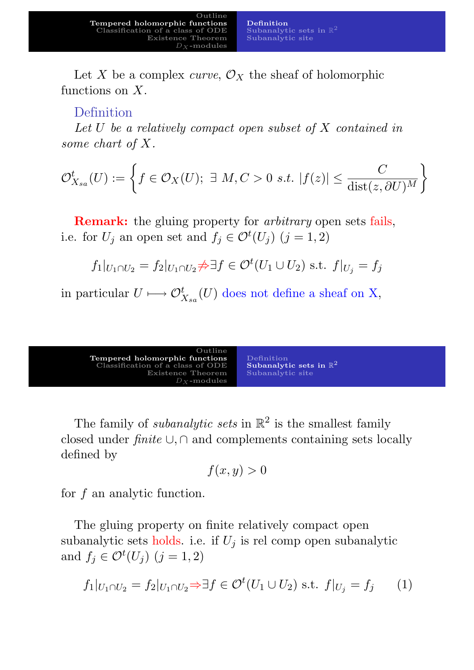Let X be a complex *curve*,  $\mathcal{O}_X$  the sheaf of holomorphic functions on X.

## Definition

Let U be a relatively compact open subset of X contained in some chart of X.

$$
\mathcal{O}_{X_{sa}}^{t}(U) := \left\{ f \in \mathcal{O}_{X}(U); \exists M, C > 0 \text{ s.t. } |f(z)| \leq \frac{C}{\text{dist}(z, \partial U)^{M}} \right\}
$$

Remark: the gluing property for arbitrary open sets fails, i.e. for  $U_j$  an open set and  $f_j \in \mathcal{O}^t(U_j)$   $(j = 1, 2)$ 

$$
f_1|_{U_1 \cap U_2} = f_2|_{U_1 \cap U_2} \neq \exists f \in \mathcal{O}^t(U_1 \cup U_2) \text{ s.t. } f|_{U_j} = f_j
$$

in particular  $U \longmapsto \mathcal{O}_{X_{sa}}^t(U)$  does not define a sheaf on X,

| Outline<br>Tempered holomorphic functions<br>Classification of a class of ODE<br>Existence Theorem<br>$D_{\mathbf{Y}}$ -modules | Definition<br>Subanalytic sets in $\mathbb{R}^2$<br>Subanalytic site |
|---------------------------------------------------------------------------------------------------------------------------------|----------------------------------------------------------------------|
|---------------------------------------------------------------------------------------------------------------------------------|----------------------------------------------------------------------|

The family of *subanalytic sets* in  $\mathbb{R}^2$  is the smallest family closed under finite ∪,∩ and complements containing sets locally [defined by](#page-0-0)

$$
f(x,y) > 0
$$

for f an analytic function.

The gluing property on finite relatively compact open subanalytic sets holds. i.e. if  $U_j$  is rel comp open subanalytic and  $f_j \in \mathcal{O}^t(U_j)$   $(j = 1, 2)$ 

<span id="page-1-0"></span>
$$
f_1|_{U_1 \cap U_2} = f_2|_{U_1 \cap U_2} \Rightarrow \exists f \in \mathcal{O}^t(U_1 \cup U_2) \text{ s.t. } f|_{U_j} = f_j \qquad (1)
$$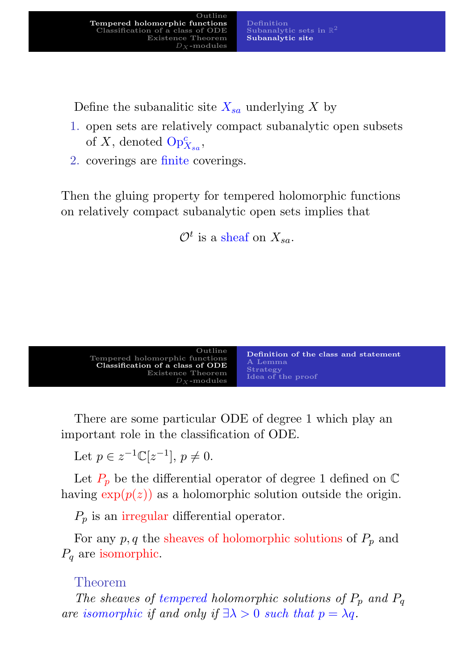Definition<br>Subanalytic sets in  $\mathbb{R}^2$ Subanalytic site

Define the subanalitic site  $X_{sa}$  underlying X by

- 1. open sets are relatively compact subanalytic open subsets of X, denoted  $\mathbf{Op}^c_{X_{sa}}$ ,
- 2. coverings are finite coverings.

Then the gluing property for tempered holomorphic functions on relatively compact subanalytic open sets implies that

 $\mathcal{O}^t$  is a sheaf on  $X_{sa}$ .

| Outline<br>Tempered holomorphic functions<br>Classification of a class of ODE<br>Existence Theorem<br>$D_{\mathbf{Y}}$ -modules | Definition of the class and statement.<br>A Lemma<br><b>Strategy</b><br>Idea of the proof |  |
|---------------------------------------------------------------------------------------------------------------------------------|-------------------------------------------------------------------------------------------|--|
|                                                                                                                                 |                                                                                           |  |

There are some particular ODE of degree 1 which play an important role in the classification of ODE.

[Let](#page-0-0)  $p \in z^{-1} \mathbb{C} [z^{-1}], p \neq 0.$ 

Let  $P_p$  [be th](#page-12-0)[e differential operator of de](#page-4-0)gree 1 defined on  $\mathbb C$ having  $\exp(p(z))$  as a holomorphic solution outside the origin.

 $P_p$  is an irregular differential operator.

For any  $p, q$  the sheaves of holomorphic solutions of  $P_p$  and  $P_q$  are isomorphic.

### Theorem

<span id="page-2-0"></span>The sheaves of tempered holomorphic solutions of  $P_p$  and  $P_q$ are isomorphic if and only if  $\exists \lambda > 0$  such that  $p = \lambda q$ .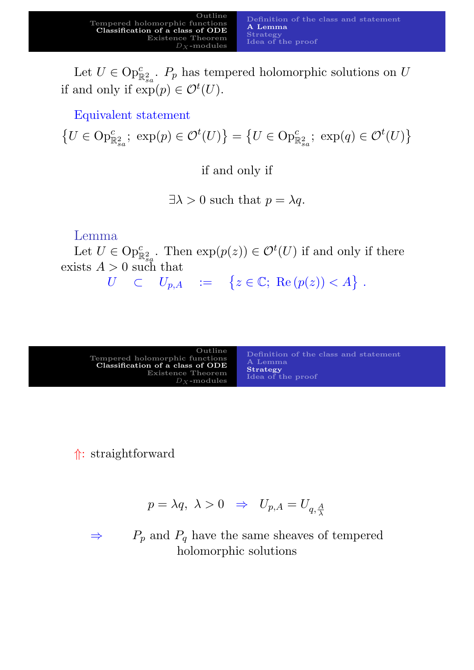Let  $U \in \text{Op}_{\mathbb{R}_{sa}^2}^c$ .  $P_p$  has tempered holomorphic solutions on U if and only if  $\exp(p) \in \mathcal{O}^t(U)$ .

Equivalent statement

$$
\left\{U \in \mathrm{Op}_{\mathbb{R}_{sa}^2}^c; \ \exp(p) \in \mathcal{O}^t(U)\right\} = \left\{U \in \mathrm{Op}_{\mathbb{R}_{sa}^2}^c; \ \exp(q) \in \mathcal{O}^t(U)\right\}
$$

if and only if

 $\exists \lambda > 0$  such that  $p = \lambda q$ .

Lemma

Let  $U \in \text{Op}^c_{\mathbb{R}^2_{sa}}$ . Then  $\exp(p(z)) \in \mathcal{O}^t(U)$  if and only if there exists  $A > 0$  such that

$$
U \quad \subset \quad U_{p,A} \quad := \quad \left\{ z \in \mathbb{C}; \ \operatorname{Re} \left( p(z) \right) < A \right\} \, .
$$

| Outline<br>Tempered holomorphic functions<br>Classification of a class of ODE<br>Existence Theorem<br>$D_x$ -modules | Definition of the class and statement.<br>A Lemma<br><b>Strategy</b><br>Idea of the proof |
|----------------------------------------------------------------------------------------------------------------------|-------------------------------------------------------------------------------------------|
|                                                                                                                      |                                                                                           |

⇑: [straightfo](#page-0-0)[rward](#page-2-0)

$$
p=\lambda q,~\lambda>0~~\Rightarrow~~U_{p,A}=U_{q,\frac{A}{\lambda}}
$$

<span id="page-3-0"></span>

 $\Rightarrow$  P<sub>p</sub> and P<sub>q</sub> have the same sheaves of tempered holomorphic solutions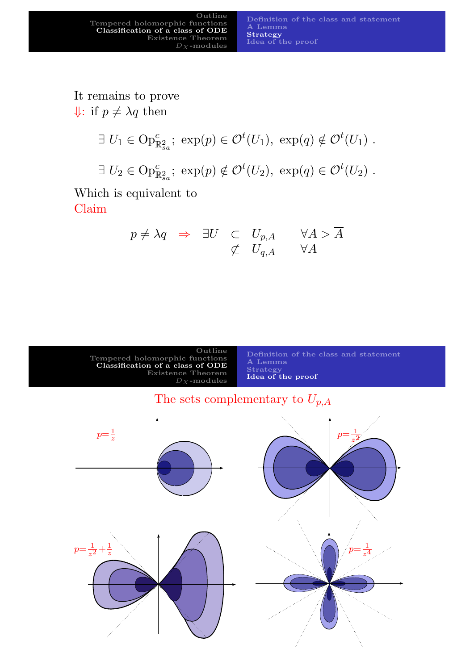It remains to prove  $\Downarrow$ : if  $p \neq \lambda q$  then

$$
\exists U_1 \in \mathrm{Op}_{\mathbb{R}_{sa}^2}^c; \; \exp(p) \in \mathcal{O}^t(U_1), \; \exp(q) \notin \mathcal{O}^t(U_1) \; .
$$

$$
\exists U_2 \in \text{Op}_{\mathbb{R}_{sa}^2}^c; \; \exp(p) \notin \mathcal{O}^t(U_2), \; \exp(q) \in \mathcal{O}^t(U_2) \; .
$$

Which is equivalent to Claim

$$
p \neq \lambda q \Rightarrow \exists U \subset U_{p,A} \quad \forall A > \overline{A}
$$
  

$$
\not\subset U_{q,A} \quad \forall A
$$



<span id="page-4-0"></span>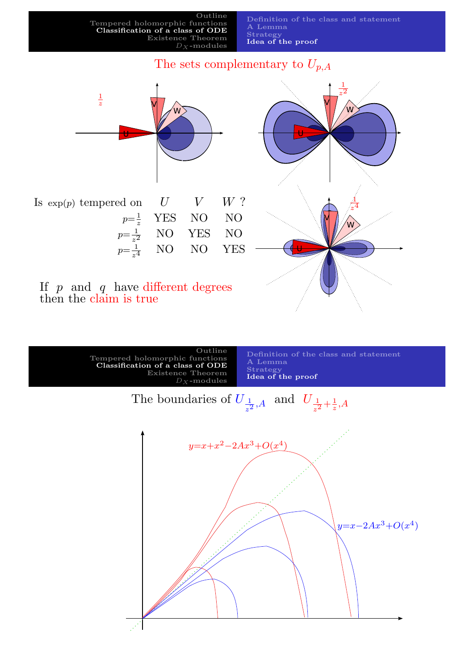1 z  $\overline{2}$ 

1

4

The sets complementary to  $U_{p,A}$ 



Is  $\exp(p)$  tempered on  $U$   $V$   $W$ ?  $p=\frac{1}{z}$  YES NO NO  $p=\frac{1}{z^2}$  NO YES NO

 $p=\frac{1}{z^4}$  NO NO YES

#### If  $p$  and  $q$  have different degrees then the claim is true

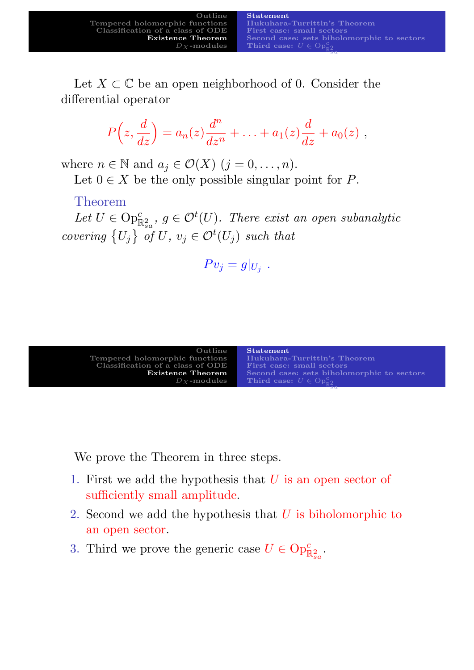| $Q$ utline                       | <b>Statement</b>                           |
|----------------------------------|--------------------------------------------|
| Tempered holomorphic functions   | Hukuhara-Turrittin's Theorem               |
| Classification of a class of ODE | First case: small sectors                  |
| Existence Theorem                | Second case: sets biholomorphic to sectors |
| $D_{\mathbf{Y}}$ -modules        | Third case: $U \in \text{Op}^c_{\pi^2}$    |
|                                  |                                            |

Let  $X \subset \mathbb{C}$  be an open neighborhood of 0. Consider the differential operator

$$
P(z, \frac{d}{dz}) = a_n(z)\frac{d^n}{dz^n} + \ldots + a_1(z)\frac{d}{dz} + a_0(z) ,
$$

where  $n \in \mathbb{N}$  and  $a_j \in \mathcal{O}(X)$   $(j = 0, \ldots, n)$ .

Let  $0 \in X$  be the only possible singular point for P.

Theorem

Let  $U \in \text{Op}^c_{\mathbb{R}^2_{sa}}, g \in \mathcal{O}^t(U)$ . There exist an open subanalytic covering  $\{U_j\}$  of U,  $v_j \in \mathcal{O}^t(U_j)$  such that

$$
Pv_j = g|_{U_j} .
$$

| $Q$ utline<br>Tempered holomorphic functions<br>Classification of a class of ODE<br>Existence Theorem<br>$D_{\mathbf{Y}}$ -modules | <b>Statement</b><br>Hukuhara-Turrittin's Theorem<br>First case: small sectors<br>Second case: sets biholomorphic to sectors<br>Third case: $U \in \text{Op}^c_{\sigma}$ |
|------------------------------------------------------------------------------------------------------------------------------------|-------------------------------------------------------------------------------------------------------------------------------------------------------------------------|
|                                                                                                                                    |                                                                                                                                                                         |

[We prove th](#page-0-0)[e Theorem in three steps.](#page-6-0)

- 1. [First we a](#page-12-0)[dd the hypothesis that](#page-9-0) U is an open sector of sufficiently small amplitude.
- 2. Second we add the hypothesis that  $U$  is biholomorphic to an open sector.
- <span id="page-6-0"></span>3. Third we prove the generic case  $U \in \text{Op}_{\mathbb{R}^2_{sa}}^c$ .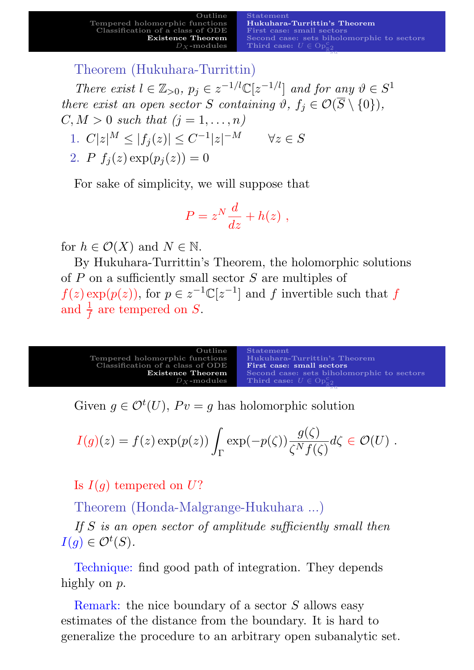Theorem (Hukuhara-Turrittin)

There exist  $l \in \mathbb{Z}_{>0}$ ,  $p_j \in z^{-1/l} \mathbb{C}[z^{-1/l}]$  and for any  $\vartheta \in S^1$ there exist an open sector S containing  $\vartheta$ ,  $f_j \in \mathcal{O}(\overline{S} \setminus \{0\}),$  $C, M > 0$  such that  $(j = 1, \ldots, n)$ 

1.  $C|z|^M \leq |f_j(z)| \leq C^{-1}|z|$  $\forall z \in S$ 

2.  $P f_j(z) \exp(p_j(z)) = 0$ 

For sake of simplicity, we will suppose that

$$
P = z^N \frac{d}{dz} + h(z) ,
$$

for  $h \in \mathcal{O}(X)$  and  $N \in \mathbb{N}$ .

By Hukuhara-Turrittin's Theorem, the holomorphic solutions of  $P$  on a sufficiently small sector  $S$  are multiples of  $f(z) \exp(p(z))$ , for  $p \in z^{-1} \mathbb{C}[z^{-1}]$  and f invertible such that f and  $\frac{1}{f}$  are tempered on S.



Given  $g \in \mathcal{O}^t(U)$ ,  $P v = g$  has holomorphic solution

$$
I(g)(z) = f(z) \exp(p(z)) \int_{\Gamma} \exp(-p(\zeta)) \frac{g(\zeta)}{\zeta^N f(\zeta)} d\zeta \in \mathcal{O}(U) .
$$

Is  $I(q)$  $I(q)$  [temp](#page-12-0)[ered](#page-9-0) [on](#page-9-0) U?

Theorem (Honda-Malgrange-Hukuhara ...)

If S is an open sector of amplitude sufficiently small then  $I(g) \in \mathcal{O}^t(S)$ .

Technique: find good path of integration. They depends highly on p.

<span id="page-7-0"></span>Remark: the nice boundary of a sector S allows easy estimates of the distance from the boundary. It is hard to generalize the procedure to an arbitrary open subanalytic set.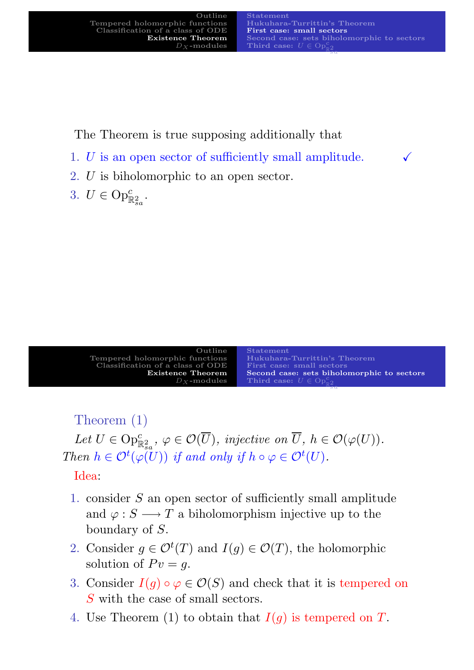The Theorem is true supposing additionally that

- 1. U is an open sector of sufficiently small amplitude.  $\checkmark$
- 2. U is biholomorphic to an open sector.
- 3.  $U \in \text{Op}^c_{\mathbb{R}^2_{sa}}$ .

| Outline                          | <b>Statement</b>                            |
|----------------------------------|---------------------------------------------|
| Tempered holomorphic functions   | Hukuhara-Turrittin's Theorem                |
| Classification of a class of ODE | First case: small sectors                   |
| Existence Theorem                | Second case: sets biholomorphic to sectors  |
| $D_{\mathbf{Y}}$ -modules        | Third case: $U \in \text{Op}^c_{\text{eq}}$ |
|                                  |                                             |

Theorem (1)

Let  $U \in \text{Op}^c_{\mathbb{R}^2_{sa}}, \varphi \in \mathcal{O}(\overline{U}),$  injective on  $\overline{U}, h \in \mathcal{O}(\varphi(U)).$ [Then](#page-0-0)  $h \in \mathcal{O}^t(\varphi(U))$  [if and only if](#page-6-0)  $h \circ \varphi \in \mathcal{O}^t(U)$ .

## [Idea:](#page-12-0)

- 1. consider S an open sector of sufficiently small amplitude and  $\varphi: S \longrightarrow T$  a biholomorphism injective up to the boundary of S.
- 2. Consider  $g \in \mathcal{O}^t(T)$  and  $I(g) \in \mathcal{O}(T)$ , the holomorphic solution of  $P v = q$ .
- 3. Consider  $I(g) \circ \varphi \in \mathcal{O}(S)$  and check that it is tempered on S with the case of small sectors.
- <span id="page-8-0"></span>4. Use Theorem (1) to obtain that  $I(g)$  is tempered on T.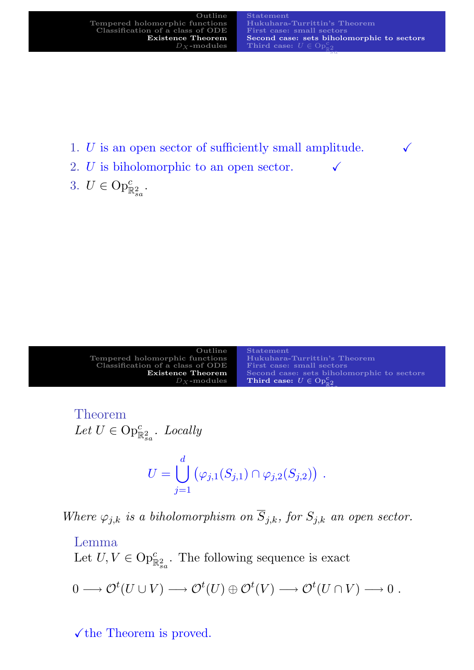- 1. U is an open sector of sufficiently small amplitude.  $\checkmark$
- 2. U is biholomorphic to an open sector.  $\checkmark$

3. 
$$
U \in \text{Op}_{\mathbb{R}^2_{sa}}^c
$$

.

| Hukuhara-Turrittin's Theorem<br>First case: small sectors<br>Second case: sets biholomorphic to sectors<br>Third case: $U \in \text{Op}^{\mathbb{C}}_{\mathbb{D}2}$ |
|---------------------------------------------------------------------------------------------------------------------------------------------------------------------|
|                                                                                                                                                                     |

Theorem Let  $U \in \text{Op}^c_{\mathbb{R}^2_{sa}}$ . Locally

$$
U = \bigcup_{j=1}^d (\varphi_{j,1}(S_{j,1}) \cap \varphi_{j,2}(S_{j,2})) .
$$

Where  $\varphi_{j,k}$  is a biholomorphism on  $\overline{S}_{j,k}$ , for  $S_{j,k}$  an open sector.

Lemma Let  $U, V \in \text{Op}^c_{\mathbb{R}^2_{sa}}$ . The following sequence is exact  $0 \longrightarrow \mathcal{O}^t(U \cup V) \longrightarrow \mathcal{O}^t(U) \oplus \mathcal{O}^t(V) \longrightarrow \mathcal{O}^t(U \cap V) \longrightarrow 0.$ 

<span id="page-9-0"></span> $\checkmark$  the Theorem is proved.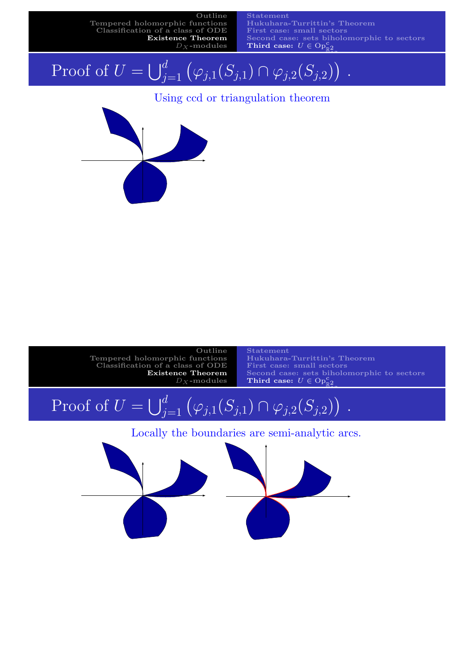Outline Tempered holomorphic functions Classification of a class of ODE Existence Theorem  $D_X$ -modules Statement Hukuhara-Turrittin's Theorem First case: small sectors Second case: sets biholomorphic to sectors Third case:  $U \in \text{Op}^c_{\mathbb{R}^2_{\text{max}}}$ 

Proof of  $U = \bigcup_{j=1}^{d} (\varphi_{j,1}(S_{j,1}) \cap \varphi_{j,2}(S_{j,2}))$ 

Using ccd or triangulation theorem





Statement Hukuhara-Turrittin's Theorem First case: small sectors Second case: sets biholomorphic to sectors Third case:  $U \in \text{Op}_{\mathbb{R}^2}^c$ sa



Locally the boundaries are semi-analytic arcs.

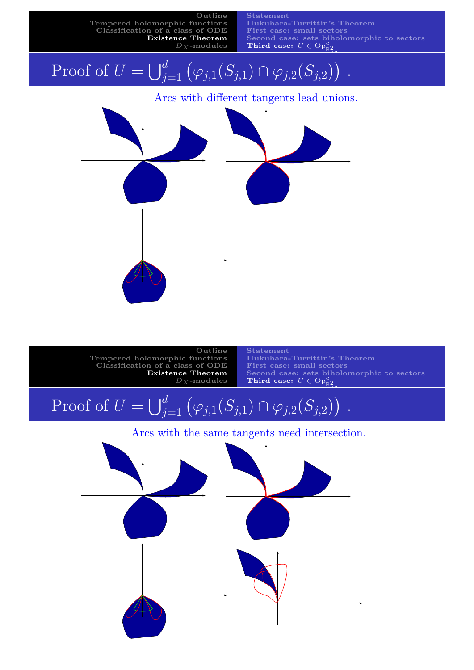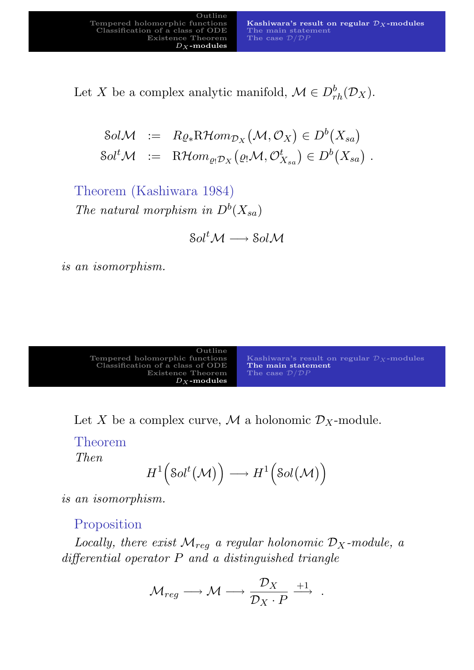Kashiwara's result on regular  $\mathcal{D}_X$ -modules The main statement The case  $\mathcal{D}/\mathcal{D}P$ 

Let X be a complex analytic manifold,  $\mathcal{M} \in D_{rh}^b(\mathcal{D}_X)$ .

$$
SolM := R\varrho_* R\mathcal{H}om_{\mathcal{D}_X}(\mathcal{M}, \mathcal{O}_X) \in D^b(X_{sa})
$$
  

$$
Sol^t \mathcal{M} := R\mathcal{H}om_{\varrho_! \mathcal{D}_X}(\varrho_! \mathcal{M}, \mathcal{O}_{X_{sa}}^t) \in D^b(X_{sa}) .
$$

Theorem (Kashiwara 1984) The natural morphism in  $D^b(X_{sa})$ 

$$
\mathcal{S}ol^t\mathcal{M}\longrightarrow \mathcal{S}ol\mathcal{M}
$$

is an isomorphism.



Let X be a complex curve, M a holonomic  $\mathcal{D}_X$ -module.

Theorem [Then](#page-0-0)

$$
H^1\Big(\text{Sol}^t\big(\mathcal{M}\big)\Big)\longrightarrow H^1\Big(\text{Sol}\big(\mathcal{M}\big)\Big)
$$

is an isomorphism.

### Proposition

<span id="page-12-0"></span>Locally, there exist  $\mathcal{M}_{req}$  a regular holonomic  $\mathcal{D}_X$ -module, a differential operator  $P$  and a distinguished triangle

$$
\mathcal{M}_{reg} \longrightarrow \mathcal{M} \longrightarrow \frac{\mathcal{D}_X}{\mathcal{D}_X \cdot P} \stackrel{+1}{\longrightarrow} \; .
$$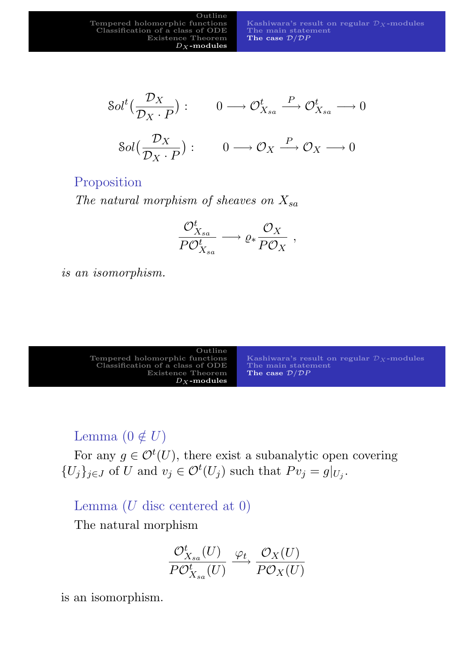$$
\mathcal{S}ol^t\left(\frac{\mathcal{D}_X}{\mathcal{D}_X \cdot P}\right): \qquad 0 \longrightarrow \mathcal{O}_{X_{sa}}^t \stackrel{P}{\longrightarrow} \mathcal{O}_{X_{sa}}^t \longrightarrow 0
$$

$$
\mathcal{S}ol\left(\frac{\mathcal{D}_X}{\mathcal{D}_X \cdot P}\right): \qquad 0 \longrightarrow \mathcal{O}_X \stackrel{P}{\longrightarrow} \mathcal{O}_X \longrightarrow 0
$$

## Proposition

The natural morphism of sheaves on  $X_{sa}$ 

$$
\frac{{\mathcal{O}}^t_{X_{sa}}}{P{\mathcal{O}}^t_{X_{sa}}} \longrightarrow \varrho_* \frac{{\mathcal{O}}_X}{P{\mathcal{O}}_X} ,
$$

is an isomorphism.

| Outline<br>Tempered holomorphic functions<br>Classification of a class of ODE<br>Existence Theorem<br>$D_{\mathbf{Y}}$ -modules | Kashiwara's result on regular $\mathcal{D}_X$ -modules<br>The main statement<br>The case $\mathcal{D}/\mathcal{D}P$ |
|---------------------------------------------------------------------------------------------------------------------------------|---------------------------------------------------------------------------------------------------------------------|

Lemma  $(0 \notin U)$ 

[For any](#page-0-0)  $g \in \mathcal{O}^t(U)$ , there exist a subanalytic open covering  $\{U_j\}_{j\in J}$  [of](#page-6-0) U and  $v_j \in \mathcal{O}^t(U_j)$  such that  $P v_j = g|_{U_j}$ .

Lemma  $(U$  disc centered at  $0)$ 

The natural morphism

$$
\frac{\mathcal{O}_{X_{sa}}^{t}(U)}{P\mathcal{O}_{X_{sa}}^{t}(U)} \xrightarrow{\varphi_t} \frac{\mathcal{O}_X(U)}{P\mathcal{O}_X(U)}
$$

<span id="page-13-0"></span>is an isomorphism.